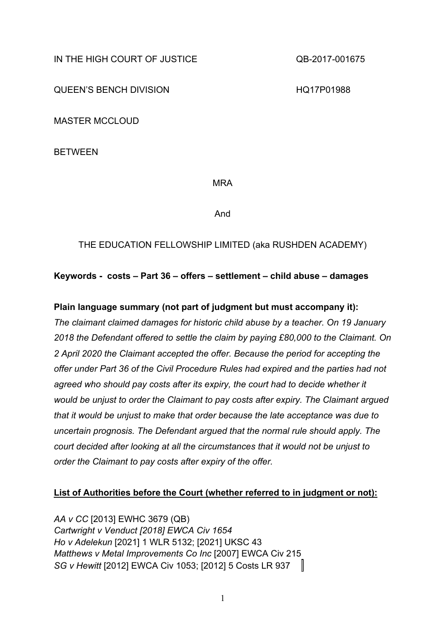IN THE HIGH COURT OF JUSTICE COUNTY ON A 40-2017-001675

QUEEN'S BENCH DIVISION **HALL** BENGH DIVISION

MASTER MCCLOUD

BETWEEN

MRA

And

## THE EDUCATION FELLOWSHIP LIMITED (aka RUSHDEN ACADEMY)

## **Keywords - costs – Part 36 – offers – settlement – child abuse – damages**

## **Plain language summary (not part of judgment but must accompany it):**

*The claimant claimed damages for historic child abuse by a teacher. On 19 January 2018 the Defendant offered to settle the claim by paying £80,000 to the Claimant. On 2 April 2020 the Claimant accepted the offer. Because the period for accepting the offer under Part 36 of the Civil Procedure Rules had expired and the parties had not agreed who should pay costs after its expiry, the court had to decide whether it would be unjust to order the Claimant to pay costs after expiry. The Claimant argued that it would be unjust to make that order because the late acceptance was due to uncertain prognosis. The Defendant argued that the normal rule should apply. The court decided after looking at all the circumstances that it would not be unjust to order the Claimant to pay costs after expiry of the offer.*

### **List of Authorities before the Court (whether referred to in judgment or not):**

*AA v CC* [2013] EWHC 3679 (QB) *Cartwright v Venduct [2018] EWCA Civ 1654 Ho v Adelekun* [2021] 1 WLR 5132; [2021] UKSC 43 *Matthews v Metal Improvements Co Inc* [2007] EWCA Civ 215 *SG v Hewitt* [2012] EWCA Civ 1053; [2012] 5 Costs LR 937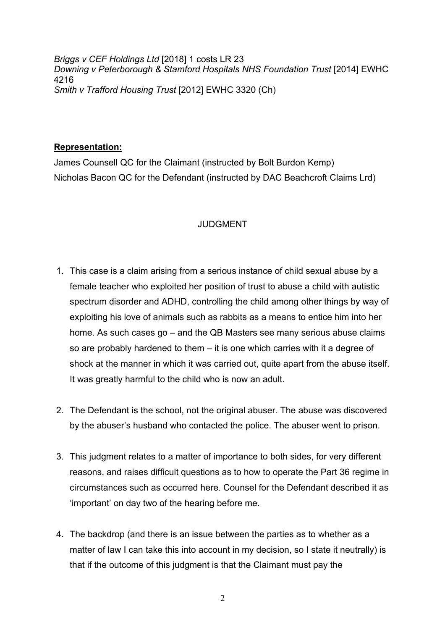*Briggs v CEF Holdings Ltd* [2018] 1 costs LR 23 *Downing v Peterborough & Stamford Hospitals NHS Foundation Trust* [2014] EWHC 4216 *Smith v Trafford Housing Trust* [2012] EWHC 3320 (Ch)

### **Representation:**

James Counsell QC for the Claimant (instructed by Bolt Burdon Kemp) Nicholas Bacon QC for the Defendant (instructed by DAC Beachcroft Claims Lrd)

### JUDGMENT

- 1. This case is a claim arising from a serious instance of child sexual abuse by a female teacher who exploited her position of trust to abuse a child with autistic spectrum disorder and ADHD, controlling the child among other things by way of exploiting his love of animals such as rabbits as a means to entice him into her home. As such cases go – and the QB Masters see many serious abuse claims so are probably hardened to them – it is one which carries with it a degree of shock at the manner in which it was carried out, quite apart from the abuse itself. It was greatly harmful to the child who is now an adult.
- 2. The Defendant is the school, not the original abuser. The abuse was discovered by the abuser's husband who contacted the police. The abuser went to prison.
- 3. This judgment relates to a matter of importance to both sides, for very different reasons, and raises difficult questions as to how to operate the Part 36 regime in circumstances such as occurred here. Counsel for the Defendant described it as 'important' on day two of the hearing before me.
- 4. The backdrop (and there is an issue between the parties as to whether as a matter of law I can take this into account in my decision, so I state it neutrally) is that if the outcome of this judgment is that the Claimant must pay the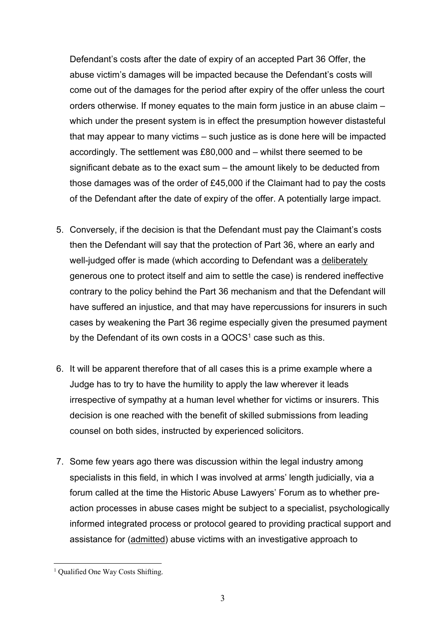Defendant's costs after the date of expiry of an accepted Part 36 Offer, the abuse victim's damages will be impacted because the Defendant's costs will come out of the damages for the period after expiry of the offer unless the court orders otherwise. If money equates to the main form justice in an abuse claim – which under the present system is in effect the presumption however distasteful that may appear to many victims – such justice as is done here will be impacted accordingly. The settlement was £80,000 and – whilst there seemed to be significant debate as to the exact sum – the amount likely to be deducted from those damages was of the order of £45,000 if the Claimant had to pay the costs of the Defendant after the date of expiry of the offer. A potentially large impact.

- 5. Conversely, if the decision is that the Defendant must pay the Claimant's costs then the Defendant will say that the protection of Part 36, where an early and well-judged offer is made (which according to Defendant was a deliberately generous one to protect itself and aim to settle the case) is rendered ineffective contrary to the policy behind the Part 36 mechanism and that the Defendant will have suffered an injustice, and that may have repercussions for insurers in such cases by weakening the Part 36 regime especially given the presumed payment by the Defendant of its own costs in a  $QOCS<sup>1</sup>$  case such as this.
- 6. It will be apparent therefore that of all cases this is a prime example where a Judge has to try to have the humility to apply the law wherever it leads irrespective of sympathy at a human level whether for victims or insurers. This decision is one reached with the benefit of skilled submissions from leading counsel on both sides, instructed by experienced solicitors.
- 7. Some few years ago there was discussion within the legal industry among specialists in this field, in which I was involved at arms' length judicially, via a forum called at the time the Historic Abuse Lawyers' Forum as to whether preaction processes in abuse cases might be subject to a specialist, psychologically informed integrated process or protocol geared to providing practical support and assistance for (admitted) abuse victims with an investigative approach to

<sup>&</sup>lt;sup>1</sup> Qualified One Way Costs Shifting.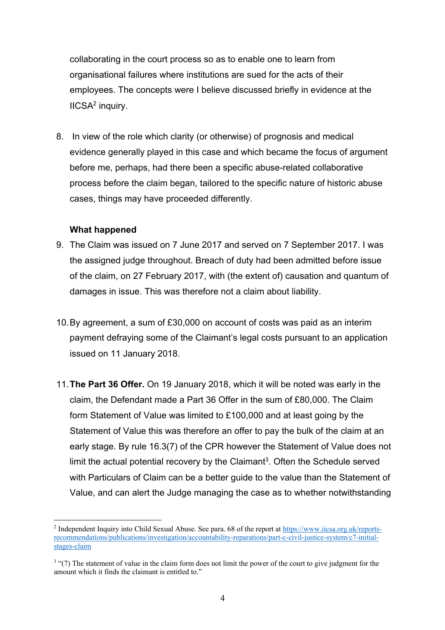collaborating in the court process so as to enable one to learn from organisational failures where institutions are sued for the acts of their employees. The concepts were I believe discussed briefly in evidence at the IICSA<sup>2</sup> inquiry.

8. In view of the role which clarity (or otherwise) of prognosis and medical evidence generally played in this case and which became the focus of argument before me, perhaps, had there been a specific abuse-related collaborative process before the claim began, tailored to the specific nature of historic abuse cases, things may have proceeded differently.

### **What happened**

- 9. The Claim was issued on 7 June 2017 and served on 7 September 2017. I was the assigned judge throughout. Breach of duty had been admitted before issue of the claim, on 27 February 2017, with (the extent of) causation and quantum of damages in issue. This was therefore not a claim about liability.
- 10.By agreement, a sum of £30,000 on account of costs was paid as an interim payment defraying some of the Claimant's legal costs pursuant to an application issued on 11 January 2018.
- 11.**The Part 36 Offer.** On 19 January 2018, which it will be noted was early in the claim, the Defendant made a Part 36 Offer in the sum of £80,000. The Claim form Statement of Value was limited to £100,000 and at least going by the Statement of Value this was therefore an offer to pay the bulk of the claim at an early stage. By rule 16.3(7) of the CPR however the Statement of Value does not limit the actual potential recovery by the Claimant<sup>3</sup>. Often the Schedule served with Particulars of Claim can be a better guide to the value than the Statement of Value, and can alert the Judge managing the case as to whether notwithstanding

<sup>2</sup> Independent Inquiry into Child Sexual Abuse. See para. 68 of the report at https://www.iicsa.org.uk/reportsrecommendations/publications/investigation/accountability-reparations/part-c-civil-justice-system/c7-initialstages-claim

<sup>&</sup>lt;sup>3</sup> "(7) The statement of value in the claim form does not limit the power of the court to give judgment for the amount which it finds the claimant is entitled to."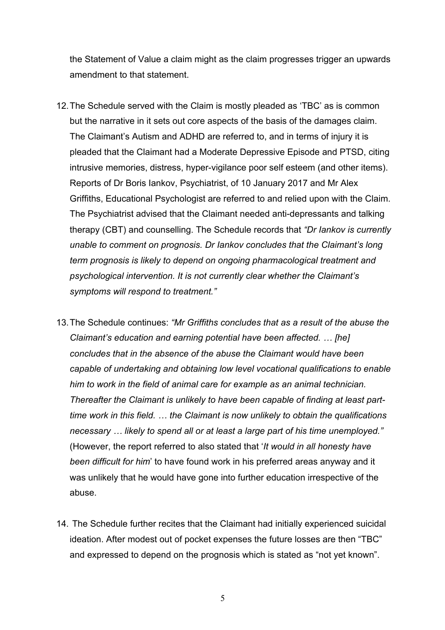the Statement of Value a claim might as the claim progresses trigger an upwards amendment to that statement.

- 12.The Schedule served with the Claim is mostly pleaded as 'TBC' as is common but the narrative in it sets out core aspects of the basis of the damages claim. The Claimant's Autism and ADHD are referred to, and in terms of injury it is pleaded that the Claimant had a Moderate Depressive Episode and PTSD, citing intrusive memories, distress, hyper-vigilance poor self esteem (and other items). Reports of Dr Boris Iankov, Psychiatrist, of 10 January 2017 and Mr Alex Griffiths, Educational Psychologist are referred to and relied upon with the Claim. The Psychiatrist advised that the Claimant needed anti-depressants and talking therapy (CBT) and counselling. The Schedule records that *"Dr Iankov is currently unable to comment on prognosis. Dr Iankov concludes that the Claimant's long term prognosis is likely to depend on ongoing pharmacological treatment and psychological intervention. It is not currently clear whether the Claimant's symptoms will respond to treatment."*
- 13.The Schedule continues: *"Mr Griffiths concludes that as a result of the abuse the Claimant's education and earning potential have been affected. … [he] concludes that in the absence of the abuse the Claimant would have been capable of undertaking and obtaining low level vocational qualifications to enable him to work in the field of animal care for example as an animal technician. Thereafter the Claimant is unlikely to have been capable of finding at least parttime work in this field. … the Claimant is now unlikely to obtain the qualifications necessary … likely to spend all or at least a large part of his time unemployed."* (However, the report referred to also stated that '*It would in all honesty have been difficult for him*' to have found work in his preferred areas anyway and it was unlikely that he would have gone into further education irrespective of the abuse.
- 14. The Schedule further recites that the Claimant had initially experienced suicidal ideation. After modest out of pocket expenses the future losses are then "TBC" and expressed to depend on the prognosis which is stated as "not yet known".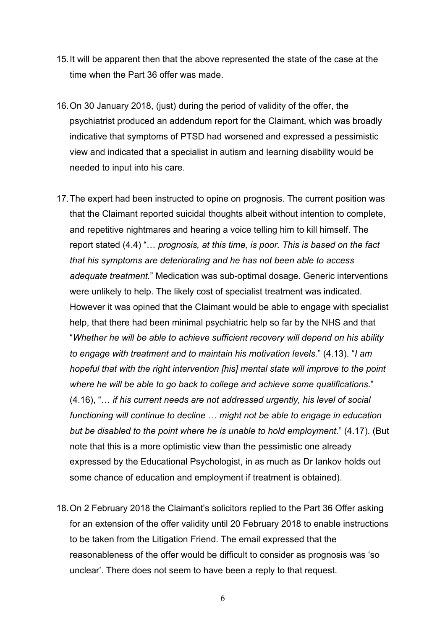- 15.It will be apparent then that the above represented the state of the case at the time when the Part 36 offer was made.
- 16.On 30 January 2018, (just) during the period of validity of the offer, the psychiatrist produced an addendum report for the Claimant, which was broadly indicative that symptoms of PTSD had worsened and expressed a pessimistic view and indicated that a specialist in autism and learning disability would be needed to input into his care.
- 17.The expert had been instructed to opine on prognosis. The current position was that the Claimant reported suicidal thoughts albeit without intention to complete, and repetitive nightmares and hearing a voice telling him to kill himself. The report stated (4.4) "… *prognosis, at this time, is poor. This is based on the fact that his symptoms are deteriorating and he has not been able to access adequate treatment.*" Medication was sub-optimal dosage. Generic interventions were unlikely to help. The likely cost of specialist treatment was indicated. However it was opined that the Claimant would be able to engage with specialist help, that there had been minimal psychiatric help so far by the NHS and that "*Whether he will be able to achieve sufficient recovery will depend on his ability to engage with treatment and to maintain his motivation levels.*" (4.13). "*I am hopeful that with the right intervention [his] mental state will improve to the point where he will be able to go back to college and achieve some qualifications.*" (4.16), "… *if his current needs are not addressed urgently, his level of social functioning will continue to decline … might not be able to engage in education but be disabled to the point where he is unable to hold employment.*" (4.17). (But note that this is a more optimistic view than the pessimistic one already expressed by the Educational Psychologist, in as much as Dr Iankov holds out some chance of education and employment if treatment is obtained).
- 18.On 2 February 2018 the Claimant's solicitors replied to the Part 36 Offer asking for an extension of the offer validity until 20 February 2018 to enable instructions to be taken from the Litigation Friend. The email expressed that the reasonableness of the offer would be difficult to consider as prognosis was 'so unclear'. There does not seem to have been a reply to that request.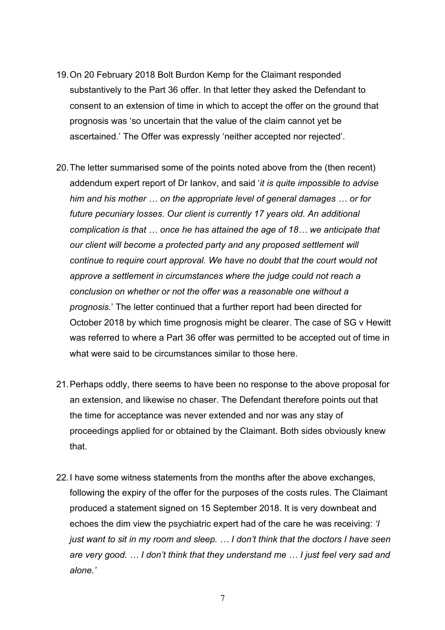- 19.On 20 February 2018 Bolt Burdon Kemp for the Claimant responded substantively to the Part 36 offer. In that letter they asked the Defendant to consent to an extension of time in which to accept the offer on the ground that prognosis was 'so uncertain that the value of the claim cannot yet be ascertained.' The Offer was expressly 'neither accepted nor rejected'.
- 20.The letter summarised some of the points noted above from the (then recent) addendum expert report of Dr Iankov, and said '*it is quite impossible to advise him and his mother … on the appropriate level of general damages … or for future pecuniary losses. Our client is currently 17 years old. An additional complication is that … once he has attained the age of 18… we anticipate that our client will become a protected party and any proposed settlement will continue to require court approval. We have no doubt that the court would not approve a settlement in circumstances where the judge could not reach a conclusion on whether or not the offer was a reasonable one without a prognosis.*' The letter continued that a further report had been directed for October 2018 by which time prognosis might be clearer. The case of SG v Hewitt was referred to where a Part 36 offer was permitted to be accepted out of time in what were said to be circumstances similar to those here.
- 21.Perhaps oddly, there seems to have been no response to the above proposal for an extension, and likewise no chaser. The Defendant therefore points out that the time for acceptance was never extended and nor was any stay of proceedings applied for or obtained by the Claimant. Both sides obviously knew that.
- 22.I have some witness statements from the months after the above exchanges, following the expiry of the offer for the purposes of the costs rules. The Claimant produced a statement signed on 15 September 2018. It is very downbeat and echoes the dim view the psychiatric expert had of the care he was receiving: *'I just want to sit in my room and sleep. … I don't think that the doctors I have seen are very good. … I don't think that they understand me … I just feel very sad and alone.'*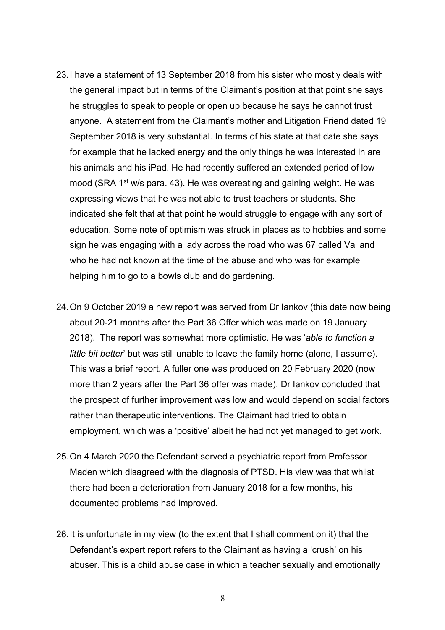- 23.I have a statement of 13 September 2018 from his sister who mostly deals with the general impact but in terms of the Claimant's position at that point she says he struggles to speak to people or open up because he says he cannot trust anyone. A statement from the Claimant's mother and Litigation Friend dated 19 September 2018 is very substantial. In terms of his state at that date she says for example that he lacked energy and the only things he was interested in are his animals and his iPad. He had recently suffered an extended period of low mood (SRA 1<sup>st</sup> w/s para. 43). He was overeating and gaining weight. He was expressing views that he was not able to trust teachers or students. She indicated she felt that at that point he would struggle to engage with any sort of education. Some note of optimism was struck in places as to hobbies and some sign he was engaging with a lady across the road who was 67 called Val and who he had not known at the time of the abuse and who was for example helping him to go to a bowls club and do gardening.
- 24.On 9 October 2019 a new report was served from Dr Iankov (this date now being about 20-21 months after the Part 36 Offer which was made on 19 January 2018). The report was somewhat more optimistic. He was '*able to function a little bit better*' but was still unable to leave the family home (alone, I assume). This was a brief report. A fuller one was produced on 20 February 2020 (now more than 2 years after the Part 36 offer was made). Dr Iankov concluded that the prospect of further improvement was low and would depend on social factors rather than therapeutic interventions. The Claimant had tried to obtain employment, which was a 'positive' albeit he had not yet managed to get work.
- 25.On 4 March 2020 the Defendant served a psychiatric report from Professor Maden which disagreed with the diagnosis of PTSD. His view was that whilst there had been a deterioration from January 2018 for a few months, his documented problems had improved.
- 26.It is unfortunate in my view (to the extent that I shall comment on it) that the Defendant's expert report refers to the Claimant as having a 'crush' on his abuser. This is a child abuse case in which a teacher sexually and emotionally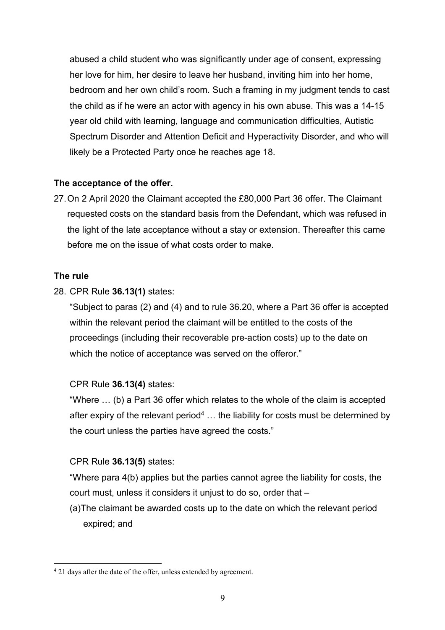abused a child student who was significantly under age of consent, expressing her love for him, her desire to leave her husband, inviting him into her home, bedroom and her own child's room. Such a framing in my judgment tends to cast the child as if he were an actor with agency in his own abuse. This was a 14-15 year old child with learning, language and communication difficulties, Autistic Spectrum Disorder and Attention Deficit and Hyperactivity Disorder, and who will likely be a Protected Party once he reaches age 18.

## **The acceptance of the offer.**

27.On 2 April 2020 the Claimant accepted the £80,000 Part 36 offer. The Claimant requested costs on the standard basis from the Defendant, which was refused in the light of the late acceptance without a stay or extension. Thereafter this came before me on the issue of what costs order to make.

## **The rule**

28. CPR Rule **36.13(1)** states:

"Subject to paras (2) and (4) and to rule 36.20, where a Part 36 offer is accepted within the relevant period the claimant will be entitled to the costs of the proceedings (including their recoverable pre-action costs) up to the date on which the notice of acceptance was served on the offeror."

## CPR Rule **36.13(4)** states:

"Where … (b) a Part 36 offer which relates to the whole of the claim is accepted after expiry of the relevant period<sup>4</sup>  $\ldots$  the liability for costs must be determined by the court unless the parties have agreed the costs."

# CPR Rule **36.13(5)** states:

"Where para 4(b) applies but the parties cannot agree the liability for costs, the court must, unless it considers it unjust to do so, order that –

(a)The claimant be awarded costs up to the date on which the relevant period expired; and

<sup>&</sup>lt;sup>4</sup> 21 days after the date of the offer, unless extended by agreement.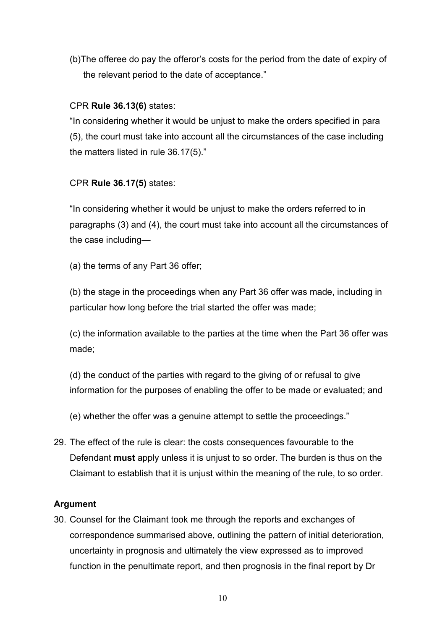(b)The offeree do pay the offeror's costs for the period from the date of expiry of the relevant period to the date of acceptance."

## CPR **Rule 36.13(6)** states:

"In considering whether it would be unjust to make the orders specified in para (5), the court must take into account all the circumstances of the case including the matters listed in rule 36.17(5)."

# CPR **Rule 36.17(5)** states:

"In considering whether it would be unjust to make the orders referred to in paragraphs (3) and (4), the court must take into account all the circumstances of the case including—

(a) the terms of any Part 36 offer;

(b) the stage in the proceedings when any Part 36 offer was made, including in particular how long before the trial started the offer was made;

(c) the information available to the parties at the time when the Part 36 offer was made;

(d) the conduct of the parties with regard to the giving of or refusal to give information for the purposes of enabling the offer to be made or evaluated; and

(e) whether the offer was a genuine attempt to settle the proceedings."

29. The effect of the rule is clear: the costs consequences favourable to the Defendant **must** apply unless it is unjust to so order. The burden is thus on the Claimant to establish that it is unjust within the meaning of the rule, to so order.

## **Argument**

30. Counsel for the Claimant took me through the reports and exchanges of correspondence summarised above, outlining the pattern of initial deterioration, uncertainty in prognosis and ultimately the view expressed as to improved function in the penultimate report, and then prognosis in the final report by Dr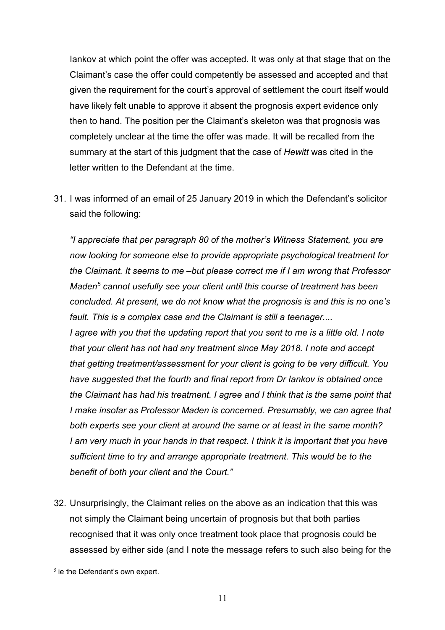Iankov at which point the offer was accepted. It was only at that stage that on the Claimant's case the offer could competently be assessed and accepted and that given the requirement for the court's approval of settlement the court itself would have likely felt unable to approve it absent the prognosis expert evidence only then to hand. The position per the Claimant's skeleton was that prognosis was completely unclear at the time the offer was made. It will be recalled from the summary at the start of this judgment that the case of *Hewitt* was cited in the letter written to the Defendant at the time.

31. I was informed of an email of 25 January 2019 in which the Defendant's solicitor said the following:

*"I appreciate that per paragraph 80 of the mother's Witness Statement, you are now looking for someone else to provide appropriate psychological treatment for the Claimant. It seems to me –but please correct me if I am wrong that Professor Maden5 cannot usefully see your client until this course of treatment has been concluded. At present, we do not know what the prognosis is and this is no one's fault. This is a complex case and the Claimant is still a teenager.... I agree with you that the updating report that you sent to me is a little old. I note that your client has not had any treatment since May 2018. I note and accept that getting treatment/assessment for your client is going to be very difficult. You have suggested that the fourth and final report from Dr Iankov is obtained once the Claimant has had his treatment. I agree and I think that is the same point that I make insofar as Professor Maden is concerned. Presumably, we can agree that both experts see your client at around the same or at least in the same month? I am very much in your hands in that respect. I think it is important that you have sufficient time to try and arrange appropriate treatment. This would be to the benefit of both your client and the Court."*

32. Unsurprisingly, the Claimant relies on the above as an indication that this was not simply the Claimant being uncertain of prognosis but that both parties recognised that it was only once treatment took place that prognosis could be assessed by either side (and I note the message refers to such also being for the

 $<sup>5</sup>$  ie the Defendant's own expert.</sup>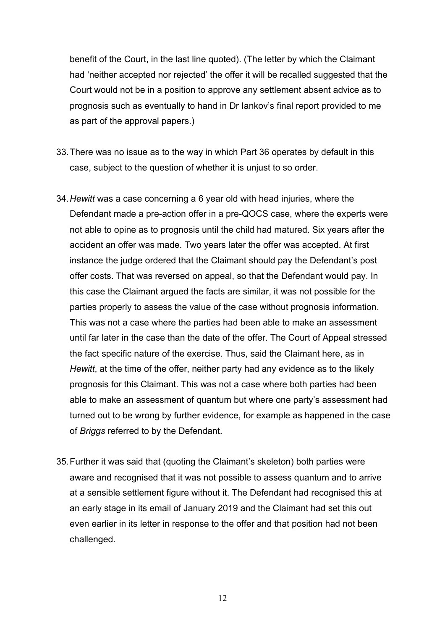benefit of the Court, in the last line quoted). (The letter by which the Claimant had 'neither accepted nor rejected' the offer it will be recalled suggested that the Court would not be in a position to approve any settlement absent advice as to prognosis such as eventually to hand in Dr Iankov's final report provided to me as part of the approval papers.)

- 33.There was no issue as to the way in which Part 36 operates by default in this case, subject to the question of whether it is unjust to so order.
- 34.*Hewitt* was a case concerning a 6 year old with head injuries, where the Defendant made a pre-action offer in a pre-QOCS case, where the experts were not able to opine as to prognosis until the child had matured. Six years after the accident an offer was made. Two years later the offer was accepted. At first instance the judge ordered that the Claimant should pay the Defendant's post offer costs. That was reversed on appeal, so that the Defendant would pay. In this case the Claimant argued the facts are similar, it was not possible for the parties properly to assess the value of the case without prognosis information. This was not a case where the parties had been able to make an assessment until far later in the case than the date of the offer. The Court of Appeal stressed the fact specific nature of the exercise. Thus, said the Claimant here, as in *Hewitt*, at the time of the offer, neither party had any evidence as to the likely prognosis for this Claimant. This was not a case where both parties had been able to make an assessment of quantum but where one party's assessment had turned out to be wrong by further evidence, for example as happened in the case of *Briggs* referred to by the Defendant.
- 35.Further it was said that (quoting the Claimant's skeleton) both parties were aware and recognised that it was not possible to assess quantum and to arrive at a sensible settlement figure without it. The Defendant had recognised this at an early stage in its email of January 2019 and the Claimant had set this out even earlier in its letter in response to the offer and that position had not been challenged.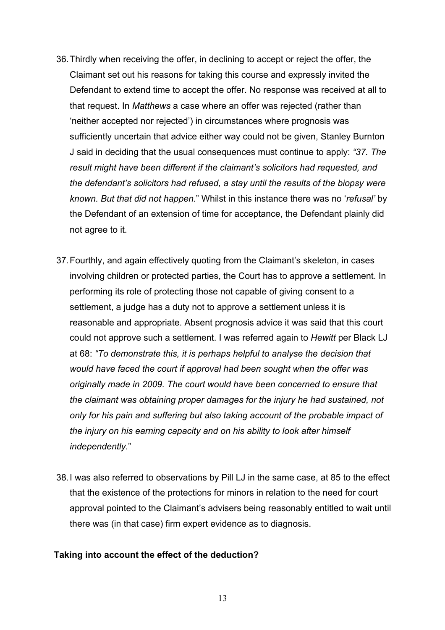- 36.Thirdly when receiving the offer, in declining to accept or reject the offer, the Claimant set out his reasons for taking this course and expressly invited the Defendant to extend time to accept the offer. No response was received at all to that request. In *Matthews* a case where an offer was rejected (rather than 'neither accepted nor rejected') in circumstances where prognosis was sufficiently uncertain that advice either way could not be given, Stanley Burnton J said in deciding that the usual consequences must continue to apply: *"37. The result might have been different if the claimant's solicitors had requested, and the defendant's solicitors had refused, a stay until the results of the biopsy were known. But that did not happen.*" Whilst in this instance there was no '*refusal'* by the Defendant of an extension of time for acceptance, the Defendant plainly did not agree to it.
- 37.Fourthly, and again effectively quoting from the Claimant's skeleton, in cases involving children or protected parties, the Court has to approve a settlement. In performing its role of protecting those not capable of giving consent to a settlement, a judge has a duty not to approve a settlement unless it is reasonable and appropriate. Absent prognosis advice it was said that this court could not approve such a settlement. I was referred again to *Hewitt* per Black LJ at 68: *"To demonstrate this, it is perhaps helpful to analyse the decision that would have faced the court if approval had been sought when the offer was originally made in 2009. The court would have been concerned to ensure that the claimant was obtaining proper damages for the injury he had sustained, not only for his pain and suffering but also taking account of the probable impact of the injury on his earning capacity and on his ability to look after himself independently.*"
- 38.I was also referred to observations by Pill LJ in the same case, at 85 to the effect that the existence of the protections for minors in relation to the need for court approval pointed to the Claimant's advisers being reasonably entitled to wait until there was (in that case) firm expert evidence as to diagnosis.

#### **Taking into account the effect of the deduction?**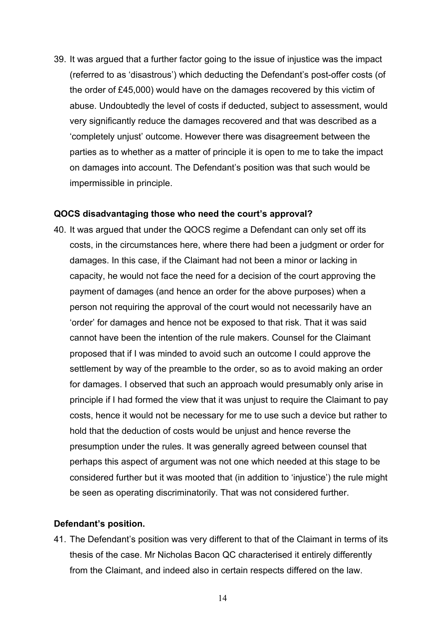39. It was argued that a further factor going to the issue of injustice was the impact (referred to as 'disastrous') which deducting the Defendant's post-offer costs (of the order of £45,000) would have on the damages recovered by this victim of abuse. Undoubtedly the level of costs if deducted, subject to assessment, would very significantly reduce the damages recovered and that was described as a 'completely unjust' outcome. However there was disagreement between the parties as to whether as a matter of principle it is open to me to take the impact on damages into account. The Defendant's position was that such would be impermissible in principle.

#### **QOCS disadvantaging those who need the court's approval?**

40. It was argued that under the QOCS regime a Defendant can only set off its costs, in the circumstances here, where there had been a judgment or order for damages. In this case, if the Claimant had not been a minor or lacking in capacity, he would not face the need for a decision of the court approving the payment of damages (and hence an order for the above purposes) when a person not requiring the approval of the court would not necessarily have an 'order' for damages and hence not be exposed to that risk. That it was said cannot have been the intention of the rule makers. Counsel for the Claimant proposed that if I was minded to avoid such an outcome I could approve the settlement by way of the preamble to the order, so as to avoid making an order for damages. I observed that such an approach would presumably only arise in principle if I had formed the view that it was unjust to require the Claimant to pay costs, hence it would not be necessary for me to use such a device but rather to hold that the deduction of costs would be unjust and hence reverse the presumption under the rules. It was generally agreed between counsel that perhaps this aspect of argument was not one which needed at this stage to be considered further but it was mooted that (in addition to 'injustice') the rule might be seen as operating discriminatorily. That was not considered further.

#### **Defendant's position.**

41. The Defendant's position was very different to that of the Claimant in terms of its thesis of the case. Mr Nicholas Bacon QC characterised it entirely differently from the Claimant, and indeed also in certain respects differed on the law.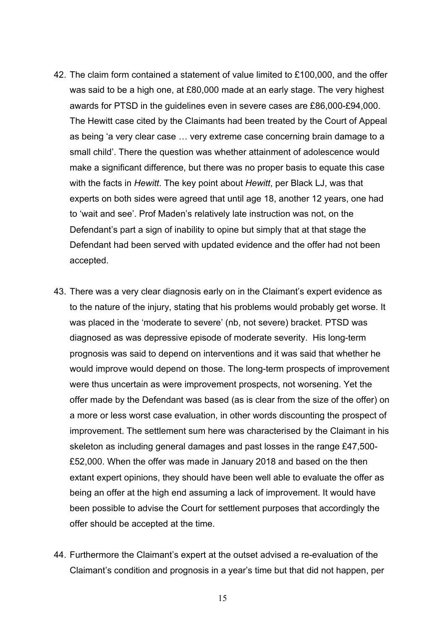- 42. The claim form contained a statement of value limited to £100,000, and the offer was said to be a high one, at £80,000 made at an early stage. The very highest awards for PTSD in the guidelines even in severe cases are £86,000-£94,000. The Hewitt case cited by the Claimants had been treated by the Court of Appeal as being 'a very clear case … very extreme case concerning brain damage to a small child'. There the question was whether attainment of adolescence would make a significant difference, but there was no proper basis to equate this case with the facts in *Hewitt*. The key point about *Hewitt*, per Black LJ, was that experts on both sides were agreed that until age 18, another 12 years, one had to 'wait and see'. Prof Maden's relatively late instruction was not, on the Defendant's part a sign of inability to opine but simply that at that stage the Defendant had been served with updated evidence and the offer had not been accepted.
- 43. There was a very clear diagnosis early on in the Claimant's expert evidence as to the nature of the injury, stating that his problems would probably get worse. It was placed in the 'moderate to severe' (nb, not severe) bracket. PTSD was diagnosed as was depressive episode of moderate severity. His long-term prognosis was said to depend on interventions and it was said that whether he would improve would depend on those. The long-term prospects of improvement were thus uncertain as were improvement prospects, not worsening. Yet the offer made by the Defendant was based (as is clear from the size of the offer) on a more or less worst case evaluation, in other words discounting the prospect of improvement. The settlement sum here was characterised by the Claimant in his skeleton as including general damages and past losses in the range £47,500- £52,000. When the offer was made in January 2018 and based on the then extant expert opinions, they should have been well able to evaluate the offer as being an offer at the high end assuming a lack of improvement. It would have been possible to advise the Court for settlement purposes that accordingly the offer should be accepted at the time.
- 44. Furthermore the Claimant's expert at the outset advised a re-evaluation of the Claimant's condition and prognosis in a year's time but that did not happen, per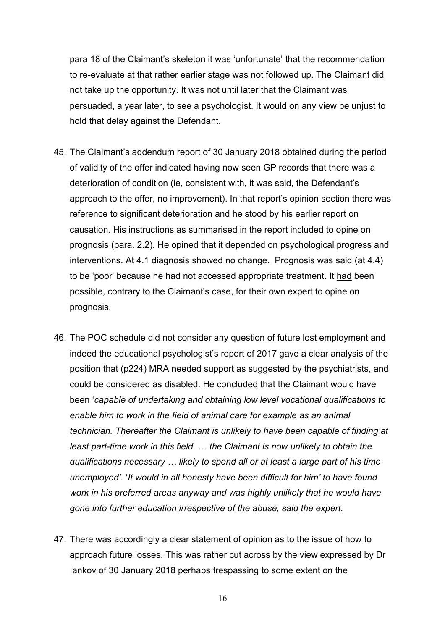para 18 of the Claimant's skeleton it was 'unfortunate' that the recommendation to re-evaluate at that rather earlier stage was not followed up. The Claimant did not take up the opportunity. It was not until later that the Claimant was persuaded, a year later, to see a psychologist. It would on any view be unjust to hold that delay against the Defendant.

- 45. The Claimant's addendum report of 30 January 2018 obtained during the period of validity of the offer indicated having now seen GP records that there was a deterioration of condition (ie, consistent with, it was said, the Defendant's approach to the offer, no improvement). In that report's opinion section there was reference to significant deterioration and he stood by his earlier report on causation. His instructions as summarised in the report included to opine on prognosis (para. 2.2). He opined that it depended on psychological progress and interventions. At 4.1 diagnosis showed no change. Prognosis was said (at 4.4) to be 'poor' because he had not accessed appropriate treatment. It had been possible, contrary to the Claimant's case, for their own expert to opine on prognosis.
- 46. The POC schedule did not consider any question of future lost employment and indeed the educational psychologist's report of 2017 gave a clear analysis of the position that (p224) MRA needed support as suggested by the psychiatrists, and could be considered as disabled. He concluded that the Claimant would have been '*capable of undertaking and obtaining low level vocational qualifications to enable him to work in the field of animal care for example as an animal technician. Thereafter the Claimant is unlikely to have been capable of finding at least part-time work in this field. … the Claimant is now unlikely to obtain the qualifications necessary … likely to spend all or at least a large part of his time unemployed'*. '*It would in all honesty have been difficult for him' to have found work in his preferred areas anyway and was highly unlikely that he would have gone into further education irrespective of the abuse, said the expert.*
- 47. There was accordingly a clear statement of opinion as to the issue of how to approach future losses. This was rather cut across by the view expressed by Dr Iankov of 30 January 2018 perhaps trespassing to some extent on the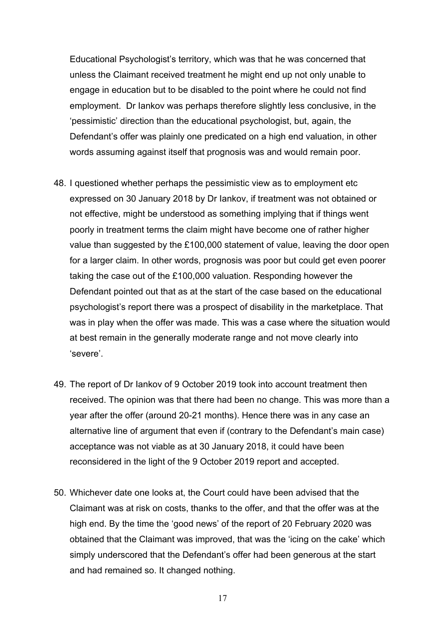Educational Psychologist's territory, which was that he was concerned that unless the Claimant received treatment he might end up not only unable to engage in education but to be disabled to the point where he could not find employment. Dr Iankov was perhaps therefore slightly less conclusive, in the 'pessimistic' direction than the educational psychologist, but, again, the Defendant's offer was plainly one predicated on a high end valuation, in other words assuming against itself that prognosis was and would remain poor.

- 48. I questioned whether perhaps the pessimistic view as to employment etc expressed on 30 January 2018 by Dr Iankov, if treatment was not obtained or not effective, might be understood as something implying that if things went poorly in treatment terms the claim might have become one of rather higher value than suggested by the £100,000 statement of value, leaving the door open for a larger claim. In other words, prognosis was poor but could get even poorer taking the case out of the £100,000 valuation. Responding however the Defendant pointed out that as at the start of the case based on the educational psychologist's report there was a prospect of disability in the marketplace. That was in play when the offer was made. This was a case where the situation would at best remain in the generally moderate range and not move clearly into 'severe'.
- 49. The report of Dr Iankov of 9 October 2019 took into account treatment then received. The opinion was that there had been no change. This was more than a year after the offer (around 20-21 months). Hence there was in any case an alternative line of argument that even if (contrary to the Defendant's main case) acceptance was not viable as at 30 January 2018, it could have been reconsidered in the light of the 9 October 2019 report and accepted.
- 50. Whichever date one looks at, the Court could have been advised that the Claimant was at risk on costs, thanks to the offer, and that the offer was at the high end. By the time the 'good news' of the report of 20 February 2020 was obtained that the Claimant was improved, that was the 'icing on the cake' which simply underscored that the Defendant's offer had been generous at the start and had remained so. It changed nothing.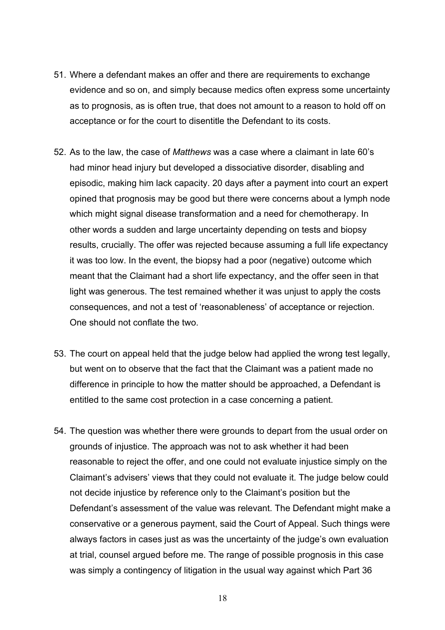- 51. Where a defendant makes an offer and there are requirements to exchange evidence and so on, and simply because medics often express some uncertainty as to prognosis, as is often true, that does not amount to a reason to hold off on acceptance or for the court to disentitle the Defendant to its costs.
- 52. As to the law, the case of *Matthews* was a case where a claimant in late 60's had minor head injury but developed a dissociative disorder, disabling and episodic, making him lack capacity. 20 days after a payment into court an expert opined that prognosis may be good but there were concerns about a lymph node which might signal disease transformation and a need for chemotherapy. In other words a sudden and large uncertainty depending on tests and biopsy results, crucially. The offer was rejected because assuming a full life expectancy it was too low. In the event, the biopsy had a poor (negative) outcome which meant that the Claimant had a short life expectancy, and the offer seen in that light was generous. The test remained whether it was unjust to apply the costs consequences, and not a test of 'reasonableness' of acceptance or rejection. One should not conflate the two.
- 53. The court on appeal held that the judge below had applied the wrong test legally, but went on to observe that the fact that the Claimant was a patient made no difference in principle to how the matter should be approached, a Defendant is entitled to the same cost protection in a case concerning a patient.
- 54. The question was whether there were grounds to depart from the usual order on grounds of injustice. The approach was not to ask whether it had been reasonable to reject the offer, and one could not evaluate injustice simply on the Claimant's advisers' views that they could not evaluate it. The judge below could not decide injustice by reference only to the Claimant's position but the Defendant's assessment of the value was relevant. The Defendant might make a conservative or a generous payment, said the Court of Appeal. Such things were always factors in cases just as was the uncertainty of the judge's own evaluation at trial, counsel argued before me. The range of possible prognosis in this case was simply a contingency of litigation in the usual way against which Part 36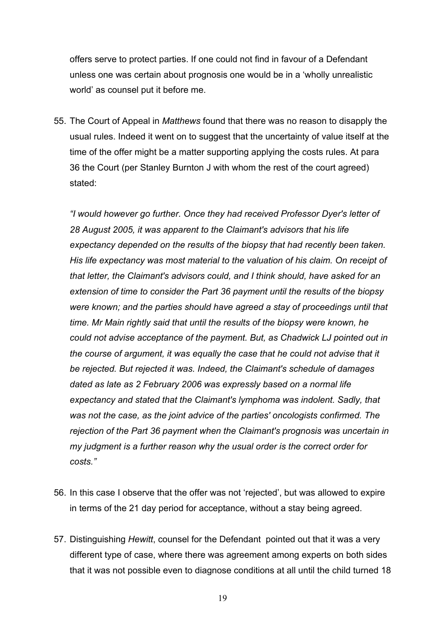offers serve to protect parties. If one could not find in favour of a Defendant unless one was certain about prognosis one would be in a 'wholly unrealistic world' as counsel put it before me.

55. The Court of Appeal in *Matthews* found that there was no reason to disapply the usual rules. Indeed it went on to suggest that the uncertainty of value itself at the time of the offer might be a matter supporting applying the costs rules. At para 36 the Court (per Stanley Burnton J with whom the rest of the court agreed) stated:

*"I would however go further. Once they had received Professor Dyer's letter of 28 August 2005, it was apparent to the Claimant's advisors that his life expectancy depended on the results of the biopsy that had recently been taken. His life expectancy was most material to the valuation of his claim. On receipt of that letter, the Claimant's advisors could, and I think should, have asked for an extension of time to consider the Part 36 payment until the results of the biopsy were known; and the parties should have agreed a stay of proceedings until that time. Mr Main rightly said that until the results of the biopsy were known, he could not advise acceptance of the payment. But, as Chadwick LJ pointed out in the course of argument, it was equally the case that he could not advise that it be rejected. But rejected it was. Indeed, the Claimant's schedule of damages dated as late as 2 February 2006 was expressly based on a normal life expectancy and stated that the Claimant's lymphoma was indolent. Sadly, that was not the case, as the joint advice of the parties' oncologists confirmed. The rejection of the Part 36 payment when the Claimant's prognosis was uncertain in my judgment is a further reason why the usual order is the correct order for costs."*

- 56. In this case I observe that the offer was not 'rejected', but was allowed to expire in terms of the 21 day period for acceptance, without a stay being agreed.
- 57. Distinguishing *Hewitt*, counsel for the Defendant pointed out that it was a very different type of case, where there was agreement among experts on both sides that it was not possible even to diagnose conditions at all until the child turned 18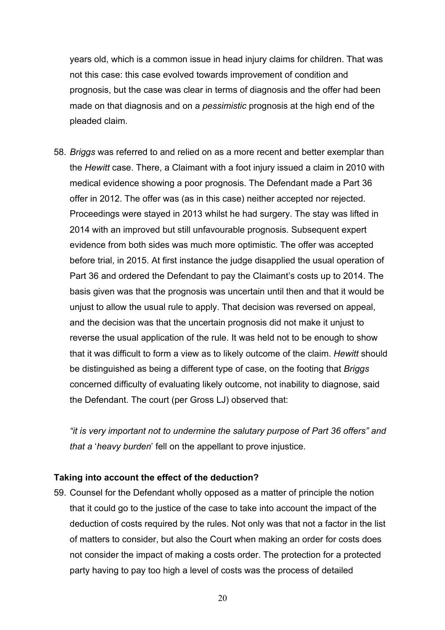years old, which is a common issue in head injury claims for children. That was not this case: this case evolved towards improvement of condition and prognosis, but the case was clear in terms of diagnosis and the offer had been made on that diagnosis and on a *pessimistic* prognosis at the high end of the pleaded claim.

58. *Briggs* was referred to and relied on as a more recent and better exemplar than the *Hewitt* case. There, a Claimant with a foot injury issued a claim in 2010 with medical evidence showing a poor prognosis. The Defendant made a Part 36 offer in 2012. The offer was (as in this case) neither accepted nor rejected. Proceedings were stayed in 2013 whilst he had surgery. The stay was lifted in 2014 with an improved but still unfavourable prognosis. Subsequent expert evidence from both sides was much more optimistic. The offer was accepted before trial, in 2015. At first instance the judge disapplied the usual operation of Part 36 and ordered the Defendant to pay the Claimant's costs up to 2014. The basis given was that the prognosis was uncertain until then and that it would be unjust to allow the usual rule to apply. That decision was reversed on appeal, and the decision was that the uncertain prognosis did not make it unjust to reverse the usual application of the rule. It was held not to be enough to show that it was difficult to form a view as to likely outcome of the claim. *Hewitt* should be distinguished as being a different type of case, on the footing that *Briggs* concerned difficulty of evaluating likely outcome, not inability to diagnose, said the Defendant. The court (per Gross LJ) observed that:

*"it is very important not to undermine the salutary purpose of Part 36 offers" and that a* '*heavy burden*' fell on the appellant to prove injustice.

#### **Taking into account the effect of the deduction?**

59. Counsel for the Defendant wholly opposed as a matter of principle the notion that it could go to the justice of the case to take into account the impact of the deduction of costs required by the rules. Not only was that not a factor in the list of matters to consider, but also the Court when making an order for costs does not consider the impact of making a costs order. The protection for a protected party having to pay too high a level of costs was the process of detailed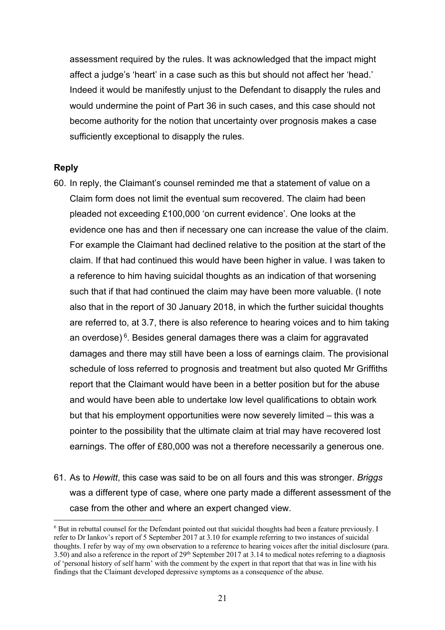assessment required by the rules. It was acknowledged that the impact might affect a judge's 'heart' in a case such as this but should not affect her 'head.' Indeed it would be manifestly unjust to the Defendant to disapply the rules and would undermine the point of Part 36 in such cases, and this case should not become authority for the notion that uncertainty over prognosis makes a case sufficiently exceptional to disapply the rules.

#### **Reply**

- 60. In reply, the Claimant's counsel reminded me that a statement of value on a Claim form does not limit the eventual sum recovered. The claim had been pleaded not exceeding £100,000 'on current evidence'. One looks at the evidence one has and then if necessary one can increase the value of the claim. For example the Claimant had declined relative to the position at the start of the claim. If that had continued this would have been higher in value. I was taken to a reference to him having suicidal thoughts as an indication of that worsening such that if that had continued the claim may have been more valuable. (I note also that in the report of 30 January 2018, in which the further suicidal thoughts are referred to, at 3.7, there is also reference to hearing voices and to him taking an overdose) $6$ . Besides general damages there was a claim for aggravated damages and there may still have been a loss of earnings claim. The provisional schedule of loss referred to prognosis and treatment but also quoted Mr Griffiths report that the Claimant would have been in a better position but for the abuse and would have been able to undertake low level qualifications to obtain work but that his employment opportunities were now severely limited – this was a pointer to the possibility that the ultimate claim at trial may have recovered lost earnings. The offer of £80,000 was not a therefore necessarily a generous one.
- 61. As to *Hewitt*, this case was said to be on all fours and this was stronger. *Briggs* was a different type of case, where one party made a different assessment of the case from the other and where an expert changed view.

<sup>6</sup> But in rebuttal counsel for the Defendant pointed out that suicidal thoughts had been a feature previously. I refer to Dr Iankov's report of 5 September 2017 at 3.10 for example referring to two instances of suicidal thoughts. I refer by way of my own observation to a reference to hearing voices after the initial disclosure (para.  $3.50$ ) and also a reference in the report of  $29<sup>th</sup>$  September 2017 at 3.14 to medical notes referring to a diagnosis of 'personal history of self harm' with the comment by the expert in that report that that was in line with his findings that the Claimant developed depressive symptoms as a consequence of the abuse.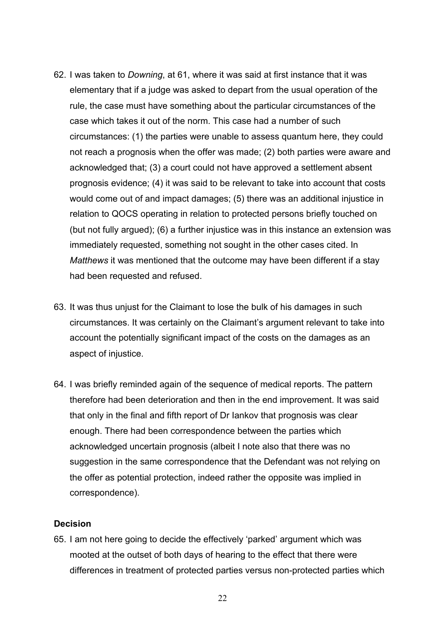- 62. I was taken to *Downing*, at 61, where it was said at first instance that it was elementary that if a judge was asked to depart from the usual operation of the rule, the case must have something about the particular circumstances of the case which takes it out of the norm. This case had a number of such circumstances: (1) the parties were unable to assess quantum here, they could not reach a prognosis when the offer was made; (2) both parties were aware and acknowledged that; (3) a court could not have approved a settlement absent prognosis evidence; (4) it was said to be relevant to take into account that costs would come out of and impact damages; (5) there was an additional injustice in relation to QOCS operating in relation to protected persons briefly touched on (but not fully argued); (6) a further injustice was in this instance an extension was immediately requested, something not sought in the other cases cited. In *Matthews* it was mentioned that the outcome may have been different if a stay had been requested and refused.
- 63. It was thus unjust for the Claimant to lose the bulk of his damages in such circumstances. It was certainly on the Claimant's argument relevant to take into account the potentially significant impact of the costs on the damages as an aspect of injustice.
- 64. I was briefly reminded again of the sequence of medical reports. The pattern therefore had been deterioration and then in the end improvement. It was said that only in the final and fifth report of Dr Iankov that prognosis was clear enough. There had been correspondence between the parties which acknowledged uncertain prognosis (albeit I note also that there was no suggestion in the same correspondence that the Defendant was not relying on the offer as potential protection, indeed rather the opposite was implied in correspondence).

#### **Decision**

65. I am not here going to decide the effectively 'parked' argument which was mooted at the outset of both days of hearing to the effect that there were differences in treatment of protected parties versus non-protected parties which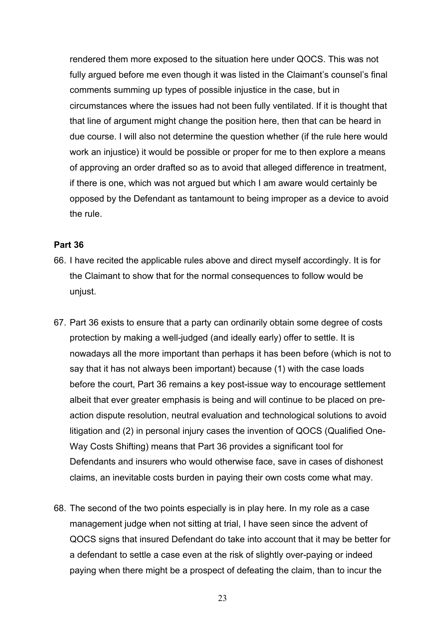rendered them more exposed to the situation here under QOCS. This was not fully argued before me even though it was listed in the Claimant's counsel's final comments summing up types of possible injustice in the case, but in circumstances where the issues had not been fully ventilated. If it is thought that that line of argument might change the position here, then that can be heard in due course. I will also not determine the question whether (if the rule here would work an injustice) it would be possible or proper for me to then explore a means of approving an order drafted so as to avoid that alleged difference in treatment, if there is one, which was not argued but which I am aware would certainly be opposed by the Defendant as tantamount to being improper as a device to avoid the rule.

### **Part 36**

- 66. I have recited the applicable rules above and direct myself accordingly. It is for the Claimant to show that for the normal consequences to follow would be unjust.
- 67. Part 36 exists to ensure that a party can ordinarily obtain some degree of costs protection by making a well-judged (and ideally early) offer to settle. It is nowadays all the more important than perhaps it has been before (which is not to say that it has not always been important) because (1) with the case loads before the court, Part 36 remains a key post-issue way to encourage settlement albeit that ever greater emphasis is being and will continue to be placed on preaction dispute resolution, neutral evaluation and technological solutions to avoid litigation and (2) in personal injury cases the invention of QOCS (Qualified One-Way Costs Shifting) means that Part 36 provides a significant tool for Defendants and insurers who would otherwise face, save in cases of dishonest claims, an inevitable costs burden in paying their own costs come what may.
- 68. The second of the two points especially is in play here. In my role as a case management judge when not sitting at trial, I have seen since the advent of QOCS signs that insured Defendant do take into account that it may be better for a defendant to settle a case even at the risk of slightly over-paying or indeed paying when there might be a prospect of defeating the claim, than to incur the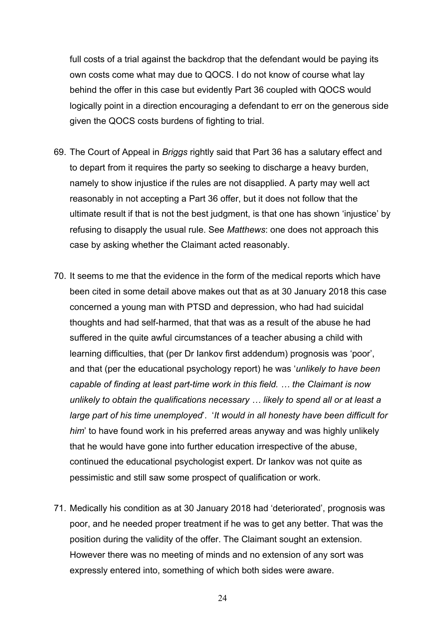full costs of a trial against the backdrop that the defendant would be paying its own costs come what may due to QOCS. I do not know of course what lay behind the offer in this case but evidently Part 36 coupled with QOCS would logically point in a direction encouraging a defendant to err on the generous side given the QOCS costs burdens of fighting to trial.

- 69. The Court of Appeal in *Briggs* rightly said that Part 36 has a salutary effect and to depart from it requires the party so seeking to discharge a heavy burden, namely to show injustice if the rules are not disapplied. A party may well act reasonably in not accepting a Part 36 offer, but it does not follow that the ultimate result if that is not the best judgment, is that one has shown 'injustice' by refusing to disapply the usual rule. See *Matthews*: one does not approach this case by asking whether the Claimant acted reasonably.
- 70. It seems to me that the evidence in the form of the medical reports which have been cited in some detail above makes out that as at 30 January 2018 this case concerned a young man with PTSD and depression, who had had suicidal thoughts and had self-harmed, that that was as a result of the abuse he had suffered in the quite awful circumstances of a teacher abusing a child with learning difficulties, that (per Dr Iankov first addendum) prognosis was 'poor', and that (per the educational psychology report) he was '*unlikely to have been capable of finding at least part-time work in this field. … the Claimant is now unlikely to obtain the qualifications necessary … likely to spend all or at least a large part of his time unemployed*'. '*It would in all honesty have been difficult for him*' to have found work in his preferred areas anyway and was highly unlikely that he would have gone into further education irrespective of the abuse, continued the educational psychologist expert. Dr Iankov was not quite as pessimistic and still saw some prospect of qualification or work.
- 71. Medically his condition as at 30 January 2018 had 'deteriorated', prognosis was poor, and he needed proper treatment if he was to get any better. That was the position during the validity of the offer. The Claimant sought an extension. However there was no meeting of minds and no extension of any sort was expressly entered into, something of which both sides were aware.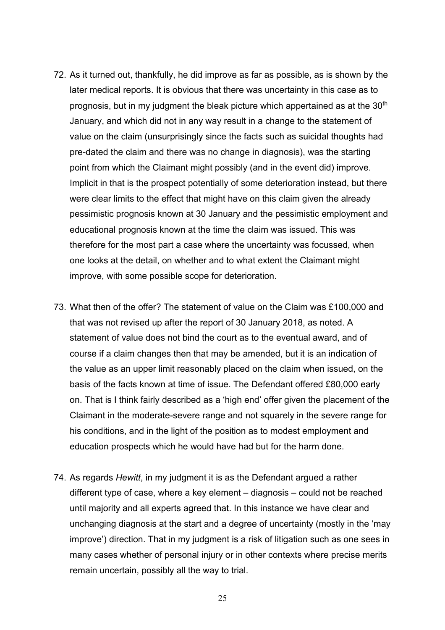- 72. As it turned out, thankfully, he did improve as far as possible, as is shown by the later medical reports. It is obvious that there was uncertainty in this case as to prognosis, but in my judgment the bleak picture which appertained as at the 30<sup>th</sup> January, and which did not in any way result in a change to the statement of value on the claim (unsurprisingly since the facts such as suicidal thoughts had pre-dated the claim and there was no change in diagnosis), was the starting point from which the Claimant might possibly (and in the event did) improve. Implicit in that is the prospect potentially of some deterioration instead, but there were clear limits to the effect that might have on this claim given the already pessimistic prognosis known at 30 January and the pessimistic employment and educational prognosis known at the time the claim was issued. This was therefore for the most part a case where the uncertainty was focussed, when one looks at the detail, on whether and to what extent the Claimant might improve, with some possible scope for deterioration.
- 73. What then of the offer? The statement of value on the Claim was £100,000 and that was not revised up after the report of 30 January 2018, as noted. A statement of value does not bind the court as to the eventual award, and of course if a claim changes then that may be amended, but it is an indication of the value as an upper limit reasonably placed on the claim when issued, on the basis of the facts known at time of issue. The Defendant offered £80,000 early on. That is I think fairly described as a 'high end' offer given the placement of the Claimant in the moderate-severe range and not squarely in the severe range for his conditions, and in the light of the position as to modest employment and education prospects which he would have had but for the harm done.
- 74. As regards *Hewitt*, in my judgment it is as the Defendant argued a rather different type of case, where a key element – diagnosis – could not be reached until majority and all experts agreed that. In this instance we have clear and unchanging diagnosis at the start and a degree of uncertainty (mostly in the 'may improve') direction. That in my judgment is a risk of litigation such as one sees in many cases whether of personal injury or in other contexts where precise merits remain uncertain, possibly all the way to trial.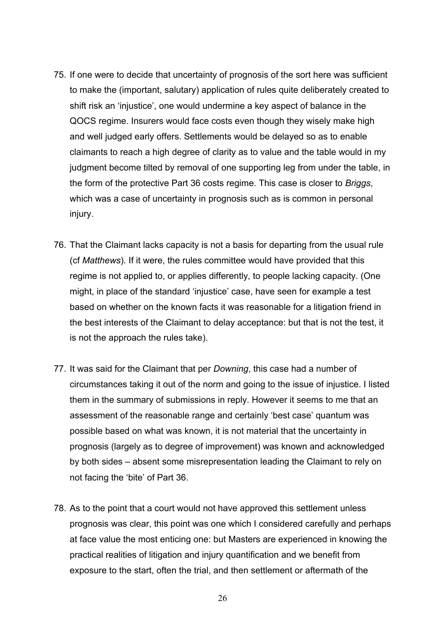- 75. If one were to decide that uncertainty of prognosis of the sort here was sufficient to make the (important, salutary) application of rules quite deliberately created to shift risk an 'injustice', one would undermine a key aspect of balance in the QOCS regime. Insurers would face costs even though they wisely make high and well judged early offers. Settlements would be delayed so as to enable claimants to reach a high degree of clarity as to value and the table would in my judgment become tilted by removal of one supporting leg from under the table, in the form of the protective Part 36 costs regime. This case is closer to *Briggs*, which was a case of uncertainty in prognosis such as is common in personal injury.
- 76. That the Claimant lacks capacity is not a basis for departing from the usual rule (cf *Matthews*). If it were, the rules committee would have provided that this regime is not applied to, or applies differently, to people lacking capacity. (One might, in place of the standard 'injustice' case, have seen for example a test based on whether on the known facts it was reasonable for a litigation friend in the best interests of the Claimant to delay acceptance: but that is not the test, it is not the approach the rules take).
- 77. It was said for the Claimant that per *Downing*, this case had a number of circumstances taking it out of the norm and going to the issue of injustice. I listed them in the summary of submissions in reply. However it seems to me that an assessment of the reasonable range and certainly 'best case' quantum was possible based on what was known, it is not material that the uncertainty in prognosis (largely as to degree of improvement) was known and acknowledged by both sides – absent some misrepresentation leading the Claimant to rely on not facing the 'bite' of Part 36.
- 78. As to the point that a court would not have approved this settlement unless prognosis was clear, this point was one which I considered carefully and perhaps at face value the most enticing one: but Masters are experienced in knowing the practical realities of litigation and injury quantification and we benefit from exposure to the start, often the trial, and then settlement or aftermath of the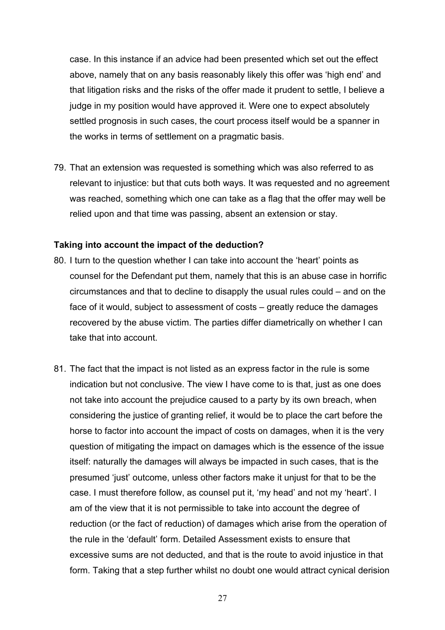case. In this instance if an advice had been presented which set out the effect above, namely that on any basis reasonably likely this offer was 'high end' and that litigation risks and the risks of the offer made it prudent to settle, I believe a judge in my position would have approved it. Were one to expect absolutely settled prognosis in such cases, the court process itself would be a spanner in the works in terms of settlement on a pragmatic basis.

79. That an extension was requested is something which was also referred to as relevant to injustice: but that cuts both ways. It was requested and no agreement was reached, something which one can take as a flag that the offer may well be relied upon and that time was passing, absent an extension or stay.

#### **Taking into account the impact of the deduction?**

- 80. I turn to the question whether I can take into account the 'heart' points as counsel for the Defendant put them, namely that this is an abuse case in horrific circumstances and that to decline to disapply the usual rules could – and on the face of it would, subject to assessment of costs – greatly reduce the damages recovered by the abuse victim. The parties differ diametrically on whether I can take that into account.
- 81. The fact that the impact is not listed as an express factor in the rule is some indication but not conclusive. The view I have come to is that, just as one does not take into account the prejudice caused to a party by its own breach, when considering the justice of granting relief, it would be to place the cart before the horse to factor into account the impact of costs on damages, when it is the very question of mitigating the impact on damages which is the essence of the issue itself: naturally the damages will always be impacted in such cases, that is the presumed 'just' outcome, unless other factors make it unjust for that to be the case. I must therefore follow, as counsel put it, 'my head' and not my 'heart'. I am of the view that it is not permissible to take into account the degree of reduction (or the fact of reduction) of damages which arise from the operation of the rule in the 'default' form. Detailed Assessment exists to ensure that excessive sums are not deducted, and that is the route to avoid injustice in that form. Taking that a step further whilst no doubt one would attract cynical derision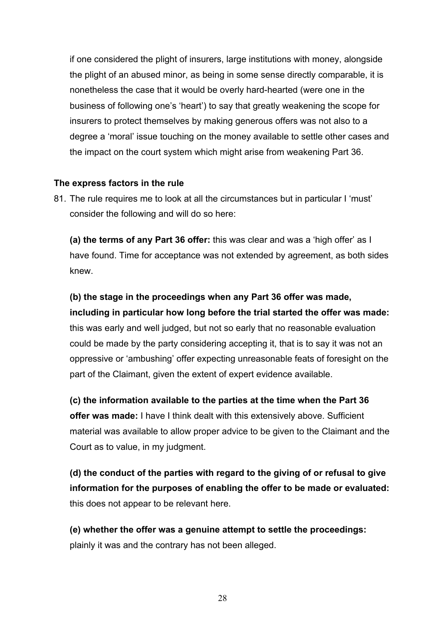if one considered the plight of insurers, large institutions with money, alongside the plight of an abused minor, as being in some sense directly comparable, it is nonetheless the case that it would be overly hard-hearted (were one in the business of following one's 'heart') to say that greatly weakening the scope for insurers to protect themselves by making generous offers was not also to a degree a 'moral' issue touching on the money available to settle other cases and the impact on the court system which might arise from weakening Part 36.

### **The express factors in the rule**

81. The rule requires me to look at all the circumstances but in particular I 'must' consider the following and will do so here:

**(a) the terms of any Part 36 offer:** this was clear and was a 'high offer' as I have found. Time for acceptance was not extended by agreement, as both sides knew.

**(b) the stage in the proceedings when any Part 36 offer was made, including in particular how long before the trial started the offer was made:** this was early and well judged, but not so early that no reasonable evaluation could be made by the party considering accepting it, that is to say it was not an oppressive or 'ambushing' offer expecting unreasonable feats of foresight on the part of the Claimant, given the extent of expert evidence available.

**(c) the information available to the parties at the time when the Part 36 offer was made:** I have I think dealt with this extensively above. Sufficient material was available to allow proper advice to be given to the Claimant and the Court as to value, in my judgment.

**(d) the conduct of the parties with regard to the giving of or refusal to give information for the purposes of enabling the offer to be made or evaluated:** this does not appear to be relevant here.

**(e) whether the offer was a genuine attempt to settle the proceedings:** plainly it was and the contrary has not been alleged.